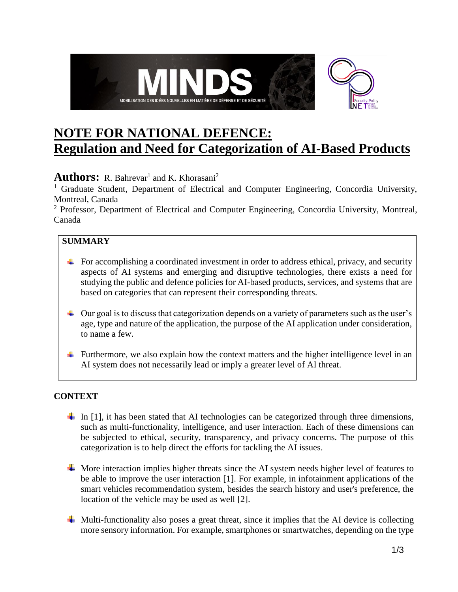

# **NOTE FOR NATIONAL DEFENCE: Regulation and Need for Categorization of AI-Based Products**

## **Authors:** R. Bahrevar<sup>1</sup> and K. Khorasani<sup>2</sup>

<sup>1</sup> Graduate Student, Department of Electrical and Computer Engineering, Concordia University, Montreal, Canada

<sup>2</sup> Professor, Department of Electrical and Computer Engineering, Concordia University, Montreal, Canada

## **SUMMARY**

- $\ddot{\bullet}$  For accomplishing a coordinated investment in order to address ethical, privacy, and security aspects of AI systems and emerging and disruptive technologies, there exists a need for studying the public and defence policies for AI-based products, services, and systems that are based on categories that can represent their corresponding threats.
- $\perp$  Our goal is to discuss that categorization depends on a variety of parameters such as the user's age, type and nature of the application, the purpose of the AI application under consideration, to name a few.
- Furthermore, we also explain how the context matters and the higher intelligence level in an AI system does not necessarily lead or imply a greater level of AI threat.

#### **CONTEXT**

- In  $[1]$ , it has been stated that AI technologies can be categorized through three dimensions, such as multi-functionality, intelligence, and user interaction. Each of these dimensions can be subjected to ethical, security, transparency, and privacy concerns. The purpose of this categorization is to help direct the efforts for tackling the AI issues.
- $\overline{\text{+}}$  More interaction implies higher threats since the AI system needs higher level of features to be able to improve the user interaction [1]. For example, in infotainment applications of the smart vehicles recommendation system, besides the search history and user's preference, the location of the vehicle may be used as well [2].
- $\overline{\phantom{a}}$  Multi-functionality also poses a great threat, since it implies that the AI device is collecting more sensory information. For example, smartphones or smartwatches, depending on the type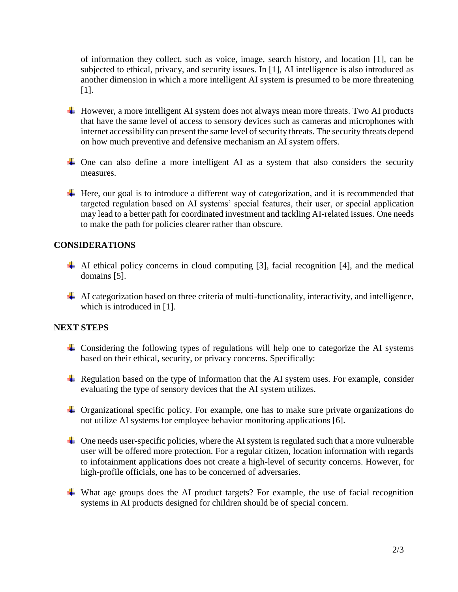of information they collect, such as voice, image, search history, and location [1], can be subjected to ethical, privacy, and security issues. In [1], AI intelligence is also introduced as another dimension in which a more intelligent AI system is presumed to be more threatening [1].

- $\overline{\phantom{a}}$  However, a more intelligent AI system does not always mean more threats. Two AI products that have the same level of access to sensory devices such as cameras and microphones with internet accessibility can present the same level of security threats. The security threats depend on how much preventive and defensive mechanism an AI system offers.
- $\overline{\phantom{a}}$  One can also define a more intelligent AI as a system that also considers the security measures.
- Here, our goal is to introduce a different way of categorization, and it is recommended that targeted regulation based on AI systems' special features, their user, or special application may lead to a better path for coordinated investment and tackling AI-related issues. One needs to make the path for policies clearer rather than obscure.

#### **CONSIDERATIONS**

- $\overline{\phantom{a}}$  AI ethical policy concerns in cloud computing [3], facial recognition [4], and the medical domains [5].
- $\perp$  AI categorization based on three criteria of multi-functionality, interactivity, and intelligence, which is introduced in [1].

#### **NEXT STEPS**

- $\pm$  Considering the following types of regulations will help one to categorize the AI systems based on their ethical, security, or privacy concerns. Specifically:
- Regulation based on the type of information that the AI system uses. For example, consider evaluating the type of sensory devices that the AI system utilizes.
- Organizational specific policy. For example, one has to make sure private organizations do not utilize AI systems for employee behavior monitoring applications [6].
- $\perp$  One needs user-specific policies, where the AI system is regulated such that a more vulnerable user will be offered more protection. For a regular citizen, location information with regards to infotainment applications does not create a high-level of security concerns. However, for high-profile officials, one has to be concerned of adversaries.
- $\overline{\phantom{a}}$  What age groups does the AI product targets? For example, the use of facial recognition systems in AI products designed for children should be of special concern.